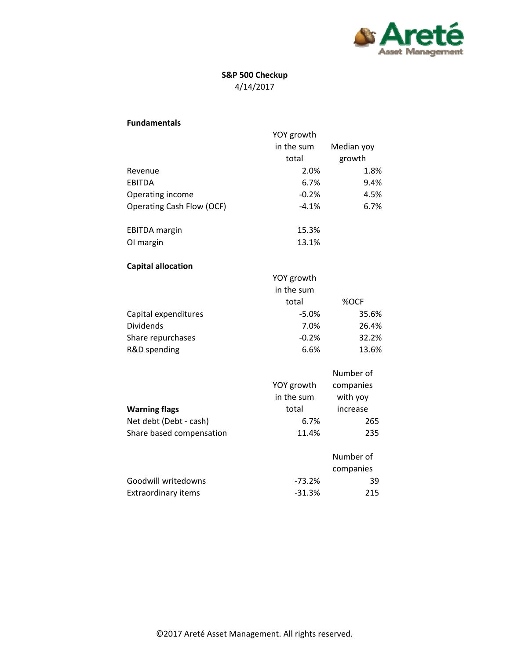

## **S&P 500 Checkup** 4/14/2017

| <b>Fundamentals</b>        |            |            |
|----------------------------|------------|------------|
|                            | YOY growth |            |
|                            | in the sum | Median yoy |
|                            | total      | growth     |
| Revenue                    | 2.0%       | 1.8%       |
| <b>EBITDA</b>              | 6.7%       | 9.4%       |
| Operating income           | $-0.2%$    | 4.5%       |
| Operating Cash Flow (OCF)  | $-4.1%$    | 6.7%       |
| <b>EBITDA</b> margin       | 15.3%      |            |
| OI margin                  | 13.1%      |            |
| <b>Capital allocation</b>  |            |            |
|                            | YOY growth |            |
|                            | in the sum |            |
|                            | total      | %OCF       |
| Capital expenditures       | $-5.0%$    | 35.6%      |
| <b>Dividends</b>           | 7.0%       | 26.4%      |
| Share repurchases          | $-0.2%$    | 32.2%      |
| R&D spending               | 6.6%       | 13.6%      |
|                            |            | Number of  |
|                            | YOY growth | companies  |
|                            | in the sum | with yoy   |
| <b>Warning flags</b>       | total      | increase   |
| Net debt (Debt - cash)     | 6.7%       | 265        |
| Share based compensation   | 11.4%      | 235        |
|                            |            | Number of  |
|                            |            | companies  |
| Goodwill writedowns        | $-73.2%$   | 39         |
| <b>Extraordinary items</b> | $-31.3%$   | 215        |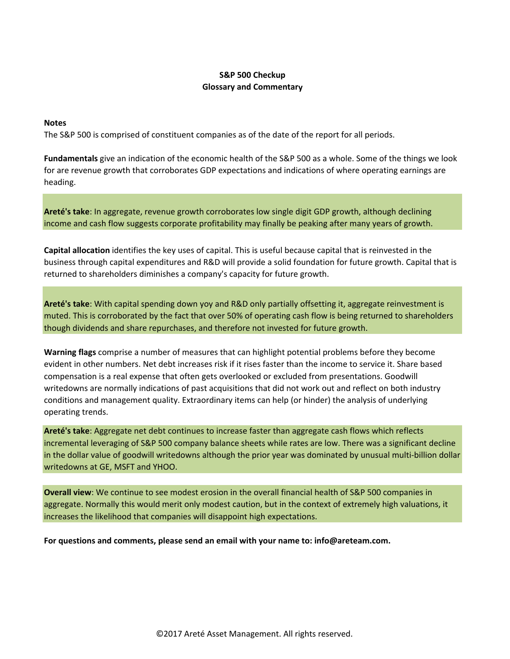## **S&P 500 Checkup Glossary and Commentary**

## **Notes**

The S&P 500 is comprised of constituent companies as of the date of the report for all periods.

**Fundamentals** give an indication of the economic health of the S&P 500 as a whole. Some of the things we look for are revenue growth that corroborates GDP expectations and indications of where operating earnings are heading.

**Areté's take**: In aggregate, revenue growth corroborates low single digit GDP growth, although declining income and cash flow suggests corporate profitability may finally be peaking after many years of growth.

**Capital allocation** identifies the key uses of capital. This is useful because capital that is reinvested in the business through capital expenditures and R&D will provide a solid foundation for future growth. Capital that is returned to shareholders diminishes a company's capacity for future growth.

**Areté's take**: With capital spending down yoy and R&D only partially offsetting it, aggregate reinvestment is muted. This is corroborated by the fact that over 50% of operating cash flow is being returned to shareholders though dividends and share repurchases, and therefore not invested for future growth.

**Warning flags** comprise a number of measures that can highlight potential problems before they become evident in other numbers. Net debt increases risk if it rises faster than the income to service it. Share based compensation is a real expense that often gets overlooked or excluded from presentations. Goodwill writedowns are normally indications of past acquisitions that did not work out and reflect on both industry conditions and management quality. Extraordinary items can help (or hinder) the analysis of underlying operating trends.

**Areté's take**: Aggregate net debt continues to increase faster than aggregate cash flows which reflects incremental leveraging of S&P 500 company balance sheets while rates are low. There was a significant decline in the dollar value of goodwill writedowns although the prior year was dominated by unusual multi‐billion dollar writedowns at GE, MSFT and YHOO.

**Overall view**: We continue to see modest erosion in the overall financial health of S&P 500 companies in aggregate. Normally this would merit only modest caution, but in the context of extremely high valuations, it increases the likelihood that companies will disappoint high expectations.

**For questions and comments, please send an email with your name to: info@areteam.com.**